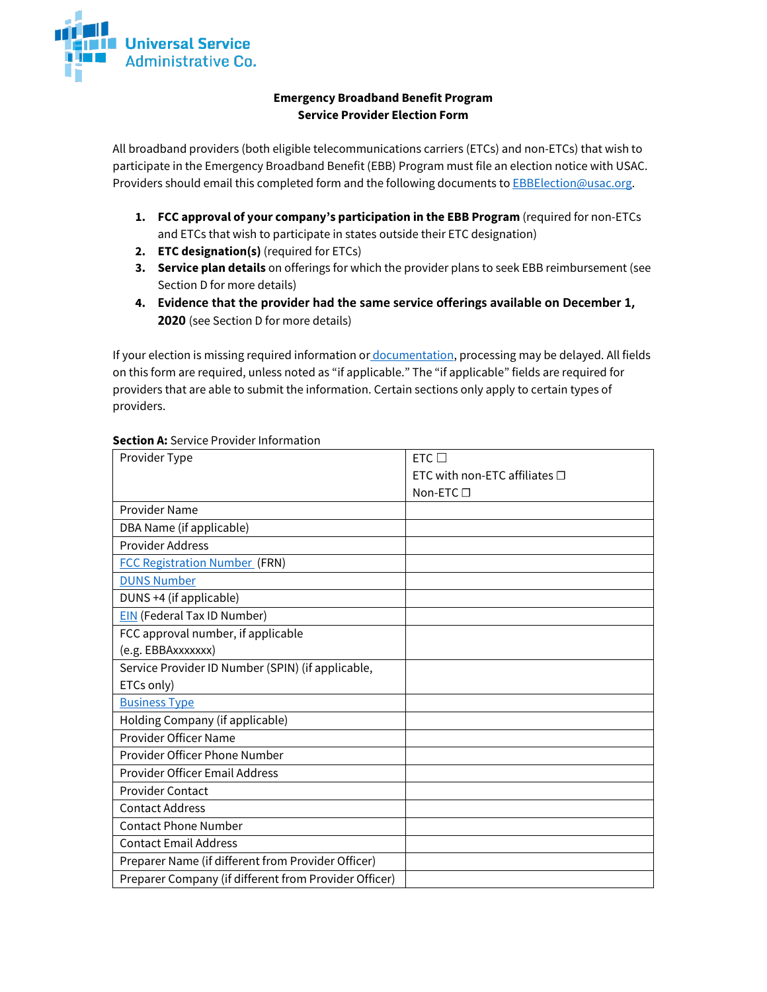

## **Emergency Broadband Benefit Program Service Provider Election Form**

All broadband providers (both eligible telecommunications carriers (ETCs) and non-ETCs) that wish to participate in the Emergency Broadband Benefit (EBB) Program must file an election notice with USAC. Providers should email this completed form and the following documents to **EBBElection@usac.org**.

- **1. FCC approval of your company's participation in the EBB Program** (required for non-ETCs and ETCs that wish to participate in states outside their ETC designation)
- **2. ETC designation(s)** (required for ETCs)
- **3. Service plan details** on offerings for which the provider plans to seek EBB reimbursement (see Section D for more details)
- **4. Evidence that the provider had the same service offerings available on December 1, 2020** (see Section D for more details)

If your election is missing required information or [documentation,](https://www.usac.org/about/emergency-broadband-benefit-program/system-resources/get-started/) processing may be delayed. All fields on this form are required, unless noted as "if applicable." The "if applicable" fields are required for providers that are able to submit the information. Certain sections only apply to certain types of providers.

| Provider Type                                         | $FTC \square$                      |
|-------------------------------------------------------|------------------------------------|
|                                                       | ETC with non-ETC affiliates $\Box$ |
|                                                       | Non-ETC $\Box$                     |
| Provider Name                                         |                                    |
| DBA Name (if applicable)                              |                                    |
| <b>Provider Address</b>                               |                                    |
| <b>FCC Registration Number (FRN)</b>                  |                                    |
| <b>DUNS Number</b>                                    |                                    |
| DUNS +4 (if applicable)                               |                                    |
| <b>EIN</b> (Federal Tax ID Number)                    |                                    |
| FCC approval number, if applicable                    |                                    |
| (e.g. EBBAxxxxxxx)                                    |                                    |
| Service Provider ID Number (SPIN) (if applicable,     |                                    |
| ETCs only)                                            |                                    |
| <b>Business Type</b>                                  |                                    |
| Holding Company (if applicable)                       |                                    |
| Provider Officer Name                                 |                                    |
| Provider Officer Phone Number                         |                                    |
| <b>Provider Officer Email Address</b>                 |                                    |
| <b>Provider Contact</b>                               |                                    |
| <b>Contact Address</b>                                |                                    |
| <b>Contact Phone Number</b>                           |                                    |
| <b>Contact Email Address</b>                          |                                    |
| Preparer Name (if different from Provider Officer)    |                                    |
| Preparer Company (if different from Provider Officer) |                                    |

#### **Section A: Service Provider Information**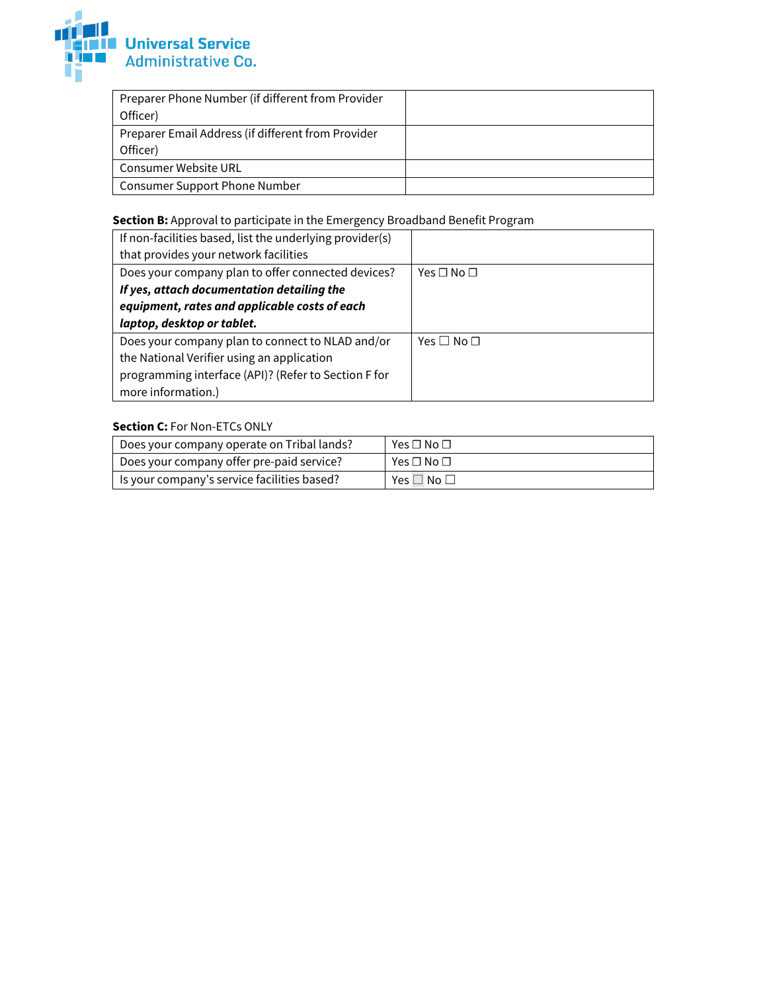

| Preparer Phone Number (if different from Provider  |  |
|----------------------------------------------------|--|
| Officer)                                           |  |
| Preparer Email Address (if different from Provider |  |
| Officer)                                           |  |
| Consumer Website URL                               |  |
| <b>Consumer Support Phone Number</b>               |  |

# **Section B:** Approval to participate in the Emergency Broadband Benefit Program

| If non-facilities based, list the underlying provider(s) |                            |
|----------------------------------------------------------|----------------------------|
| that provides your network facilities                    |                            |
| Does your company plan to offer connected devices?       | Yes □ No □                 |
| If yes, attach documentation detailing the               |                            |
| equipment, rates and applicable costs of each            |                            |
| laptop, desktop or tablet.                               |                            |
| Does your company plan to connect to NLAD and/or         | Yes $\square$ No $\square$ |
| the National Verifier using an application               |                            |
| programming interface (API)? (Refer to Section F for     |                            |
| more information.)                                       |                            |

## **Section C:** For Non-ETCs ONLY

| Does your company operate on Tribal lands?  | Yes $\square$ No $\square$ |
|---------------------------------------------|----------------------------|
| Does your company offer pre-paid service?   | Yes $\sqcap$ No $\sqcap$   |
| Is your company's service facilities based? | ∏No ⊡<br>Yes               |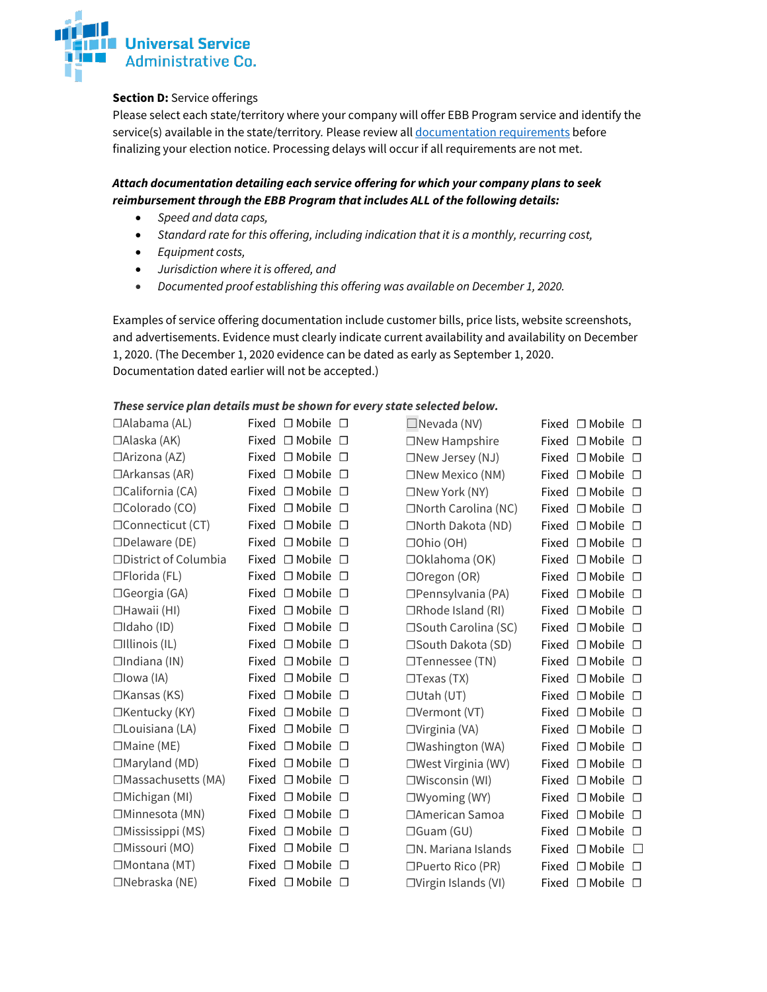

### **Section D:** Service offerings

Please select each state/territory where your company will offer EBB Program service and identify the service(s) available in the state/territory*.* Please review al[l documentation requirements](https://www.usac.org/about/emergency-broadband-benefit-program/system-resources/get-started/) before finalizing your election notice. Processing delays will occur if all requirements are not met.

# *Attach documentation detailing each service offering for which your company plans to seek reimbursement through the EBB Program that includes ALL of the following details:*

- *Speed and data caps,*
- *Standard rate for this offering, including indication that it is a monthly, recurring cost,*
- *Equipment costs,*
- *Jurisdiction where it is offered, and*
- *Documented proof establishing this offering was available on December 1, 2020.*

Examples of service offering documentation include customer bills, price lists, website screenshots, and advertisements. Evidence must clearly indicate current availability and availability on December 1, 2020. (The December 1, 2020 evidence can be dated as early as September 1, 2020. Documentation dated earlier will not be accepted.)

### *These service plan details must be shown for every state selected below.*

| $\Box$ Alabama (AL)          | Fixed $\Box$ Mobile $\Box$ |        | $\Box$ Nevada (NV)           |       | Fixed $\Box$ Mobile $\Box$ |        |
|------------------------------|----------------------------|--------|------------------------------|-------|----------------------------|--------|
| $\Box$ Alaska (AK)           | Fixed $\Box$ Mobile $\Box$ |        | $\Box$ New Hampshire         |       | Fixed $\Box$ Mobile $\Box$ |        |
| $\Box$ Arizona (AZ)          | Fixed $\Box$ Mobile        | $\Box$ | $\Box$ New Jersey (NJ)       |       | Fixed $\Box$ Mobile $\Box$ |        |
| $\Box$ Arkansas (AR)         | Fixed $\Box$ Mobile $\Box$ |        | $\square$ New Mexico (NM)    |       | Fixed $\Box$ Mobile $\Box$ |        |
| □California (CA)             | Fixed $\Box$ Mobile        | $\Box$ | □New York (NY)               |       | Fixed □ Mobile □           |        |
| □Colorado (CO)               | Fixed $\Box$ Mobile        | $\Box$ | □North Carolina (NC)         |       | Fixed $\Box$ Mobile $\Box$ |        |
| □Connecticut (CT)            | Fixed $\Box$ Mobile $\Box$ |        | □North Dakota (ND)           |       | Fixed □ Mobile □           |        |
| $\Box$ Delaware (DE)         | Fixed $\Box$ Mobile        | $\Box$ | □Ohio (OH)                   |       | Fixed $\Box$ Mobile $\Box$ |        |
| $\Box$ District of Columbia  | Fixed $\Box$ Mobile        | $\Box$ | □Oklahoma (OK)               |       | Fixed $\Box$ Mobile $\Box$ |        |
| $\Box$ Florida (FL)          | Fixed $\Box$ Mobile        | $\Box$ | □Oregon (OR)                 |       | Fixed □ Mobile □           |        |
| $\Box$ Georgia (GA)          | Fixed $\Box$ Mobile        | $\Box$ | $\Box$ Pennsylvania (PA)     |       | Fixed □ Mobile □           |        |
| □Hawaii (HI)                 | Fixed $\Box$ Mobile        | $\Box$ | $\Box$ Rhode Island (RI)     |       | Fixed $\Box$ Mobile $\Box$ |        |
| $\Box$ Idaho (ID)            | Fixed $\Box$ Mobile $\Box$ |        | □South Carolina (SC)         |       | Fixed $\Box$ Mobile $\Box$ |        |
| $\Box$ Illinois (IL)         | Fixed $\Box$ Mobile        | $\Box$ | □South Dakota (SD)           |       | Fixed □ Mobile □           |        |
| $\Box$ Indiana (IN)          | Fixed $\Box$ Mobile        | $\Box$ | □Tennessee (TN)              |       | Fixed $\Box$ Mobile $\Box$ |        |
| $\square$ lowa (IA)          | Fixed □ Mobile             | $\Box$ | $\Box$ Texas (TX)            |       | Fixed □ Mobile □           |        |
| $\Box$ Kansas (KS)           | Fixed $\Box$ Mobile        | $\Box$ | $\Box$ Utah (UT)             |       | Fixed $\Box$ Mobile $\Box$ |        |
| □Kentucky (KY)               | Fixed $\Box$ Mobile        | $\Box$ | $\Box$ Vermont (VT)          |       | Fixed $\Box$ Mobile $\Box$ |        |
| $\Box$ Louisiana (LA)        | Fixed $\Box$ Mobile        | $\Box$ | $\Box$ Virginia (VA)         |       | Fixed $\Box$ Mobile $\Box$ |        |
| $\Box$ Maine (ME)            | Fixed $\Box$ Mobile        | $\Box$ | □Washington (WA)             |       | Fixed □ Mobile □           |        |
| $\Box$ Maryland (MD)         | Fixed $\Box$ Mobile        | $\Box$ | $\square$ West Virginia (WV) |       | Fixed $\Box$ Mobile $\Box$ |        |
| $\square$ Massachusetts (MA) | Fixed $\Box$ Mobile        | $\Box$ | $\square$ Wisconsin (WI)     |       | Fixed $\Box$ Mobile $\Box$ |        |
| $\Box$ Michigan (MI)         | Fixed $\Box$ Mobile        | $\Box$ | $\square$ Wyoming (WY)       |       | Fixed $\Box$ Mobile $\Box$ |        |
| □Minnesota (MN)              | Fixed $\Box$ Mobile        | $\Box$ | □American Samoa              |       | Fixed $\Box$ Mobile $\Box$ |        |
| $\Box$ Mississippi (MS)      | Fixed $\Box$ Mobile        | $\Box$ | $\Box$ Guam (GU)             | Fixed | $\Box$ Mobile $\Box$       |        |
| □Missouri (MO)               | Fixed $\Box$ Mobile        | $\Box$ | $\Box$ N. Mariana Islands    | Fixed | $\Box$ Mobile $\Box$       |        |
| □Montana (MT)                | Fixed $\Box$ Mobile        | $\Box$ | □Puerto Rico (PR)            | Fixed | $\Box$ Mobile $\Box$       |        |
| $\Box$ Nebraska (NE)         | Fixed $\Box$ Mobile        | $\Box$ | $\Box$ Virgin Islands (VI)   |       | Fixed $\Box$ Mobile        | $\Box$ |
|                              |                            |        |                              |       |                            |        |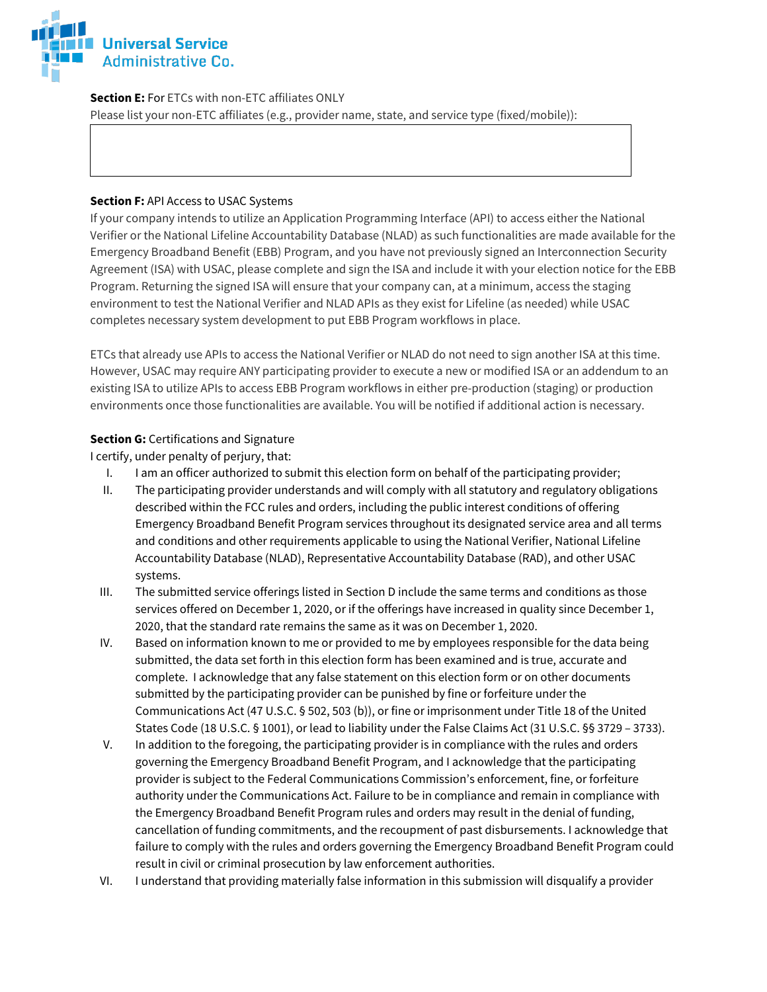

**Section E:** For ETCs with non-ETC affiliates ONLY

Please list your non-ETC affiliates (e.g., provider name, state, and service type (fixed/mobile)):

#### **Section F:** API Access to USAC Systems

If your company intends to utilize an Application Programming Interface (API) to access either the National Verifier or the National Lifeline Accountability Database (NLAD) as such functionalities are made available for the Emergency Broadband Benefit (EBB) Program, and you have not previously signed an Interconnection Security Agreement (ISA) with USAC, please complete and sign the ISA and include it with your election notice for the EBB Program. Returning the signed ISA will ensure that your company can, at a minimum, access the staging environment to test the National Verifier and NLAD APIs as they exist for Lifeline (as needed) while USAC completes necessary system development to put EBB Program workflows in place.

ETCs that already use APIs to access the National Verifier or NLAD do not need to sign another ISA at this time. However, USAC may require ANY participating provider to execute a new or modified ISA or an addendum to an existing ISA to utilize APIs to access EBB Program workflows in either pre-production (staging) or production environments once those functionalities are available. You will be notified if additional action is necessary.

### **Section G:** Certifications and Signature

I certify, under penalty of perjury, that:

- I. I am an officer authorized to submit this election form on behalf of the participating provider;
- II. The participating provider understands and will comply with all statutory and regulatory obligations described within the FCC rules and orders, including the public interest conditions of offering Emergency Broadband Benefit Program services throughout its designated service area and all terms and conditions and other requirements applicable to using the National Verifier, National Lifeline Accountability Database (NLAD), Representative Accountability Database (RAD), and other USAC systems.
- III. The submitted service offerings listed in Section D include the same terms and conditions as those services offered on December 1, 2020, or if the offerings have increased in quality since December 1, 2020, that the standard rate remains the same as it was on December 1, 2020.
- IV. Based on information known to me or provided to me by employees responsible for the data being submitted, the data set forth in this election form has been examined and is true, accurate and complete. I acknowledge that any false statement on this election form or on other documents submitted by the participating provider can be punished by fine or forfeiture under the Communications Act (47 U.S.C. § 502, 503 (b)), or fine or imprisonment under Title 18 of the United States Code (18 U.S.C. § 1001), or lead to liability under the False Claims Act (31 U.S.C. §§ 3729 – 3733).
- V. In addition to the foregoing, the participating provider is in compliance with the rules and orders governing the Emergency Broadband Benefit Program, and I acknowledge that the participating provider is subject to the Federal Communications Commission's enforcement, fine, or forfeiture authority under the Communications Act. Failure to be in compliance and remain in compliance with the Emergency Broadband Benefit Program rules and orders may result in the denial of funding, cancellation of funding commitments, and the recoupment of past disbursements. I acknowledge that failure to comply with the rules and orders governing the Emergency Broadband Benefit Program could result in civil or criminal prosecution by law enforcement authorities.
- VI. I understand that providing materially false information in this submission will disqualify a provider